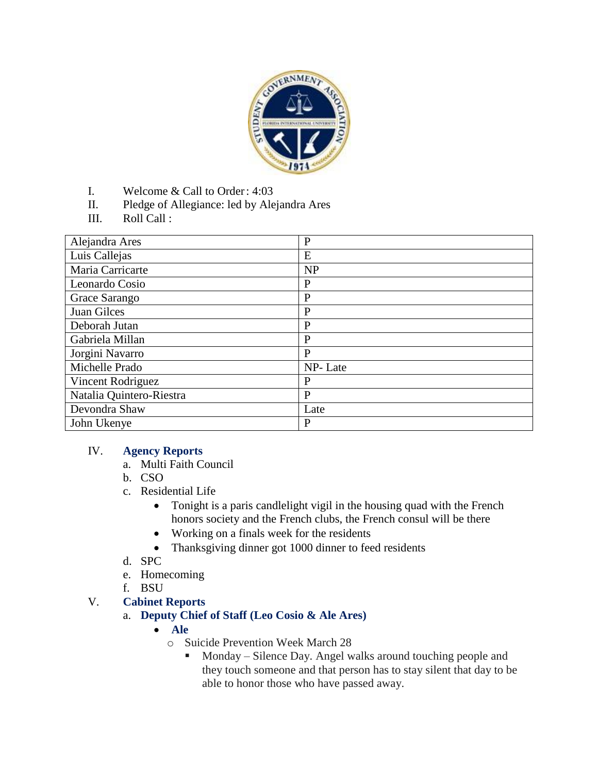

- I. Welcome & Call to Order: 4:03
- II. Pledge of Allegiance: led by Alejandra Ares
- III. Roll Call :

| Alejandra Ares           | $\mathbf{P}$ |
|--------------------------|--------------|
| Luis Callejas            | E            |
| Maria Carricarte         | <b>NP</b>    |
| Leonardo Cosio           | $\mathbf{P}$ |
| Grace Sarango            | $\mathbf{P}$ |
| Juan Gilces              | $\mathbf{P}$ |
| Deborah Jutan            | $\mathbf{P}$ |
| Gabriela Millan          | $\mathbf{P}$ |
| Jorgini Navarro          | $\mathbf{P}$ |
| Michelle Prado           | NP-Late      |
| Vincent Rodriguez        | P            |
| Natalia Quintero-Riestra | $\mathbf{P}$ |
| Devondra Shaw            | Late         |
| John Ukenye              | $\mathbf{P}$ |

## IV. **Agency Reports**

- a. Multi Faith Council
- b. CSO
- c. Residential Life
	- Tonight is a paris candlelight vigil in the housing quad with the French honors society and the French clubs, the French consul will be there
	- Working on a finals week for the residents
	- Thanksgiving dinner got 1000 dinner to feed residents
- d. SPC
- e. Homecoming
- f. BSU
- V. **Cabinet Reports**
	- a. **Deputy Chief of Staff (Leo Cosio & Ale Ares)**
		- **Ale**
			- o Suicide Prevention Week March 28
				- Monday Silence Day. Angel walks around touching people and they touch someone and that person has to stay silent that day to be able to honor those who have passed away.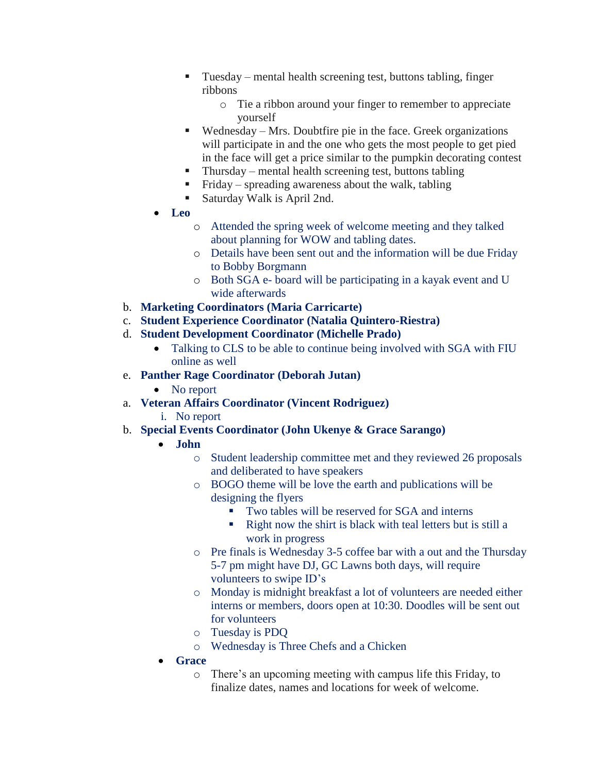- Tuesday mental health screening test, buttons tabling, finger ribbons
	- o Tie a ribbon around your finger to remember to appreciate yourself
- $\blacksquare$  Wednesday Mrs. Doubtfire pie in the face. Greek organizations will participate in and the one who gets the most people to get pied in the face will get a price similar to the pumpkin decorating contest
- $\blacksquare$  Thursday mental health screening test, buttons tabling
- Friday spreading awareness about the walk, tabling
- Saturday Walk is April 2nd.
- **Leo**
	- o Attended the spring week of welcome meeting and they talked about planning for WOW and tabling dates.
	- o Details have been sent out and the information will be due Friday to Bobby Borgmann
	- o Both SGA e- board will be participating in a kayak event and U wide afterwards
- b. **Marketing Coordinators (Maria Carricarte)**
- c. **Student Experience Coordinator (Natalia Quintero-Riestra)**
- d. **Student Development Coordinator (Michelle Prado)**
	- Talking to CLS to be able to continue being involved with SGA with FIU online as well
- e. **Panther Rage Coordinator (Deborah Jutan)**
	- No report
- a. **Veteran Affairs Coordinator (Vincent Rodriguez)**
	- i. No report
- b. **Special Events Coordinator (John Ukenye & Grace Sarango)**
	- **John** 
		- o Student leadership committee met and they reviewed 26 proposals and deliberated to have speakers
		- o BOGO theme will be love the earth and publications will be designing the flyers
			- Two tables will be reserved for SGA and interns
			- Right now the shirt is black with teal letters but is still a work in progress
		- o Pre finals is Wednesday 3-5 coffee bar with a out and the Thursday 5-7 pm might have DJ, GC Lawns both days, will require volunteers to swipe ID's
		- o Monday is midnight breakfast a lot of volunteers are needed either interns or members, doors open at 10:30. Doodles will be sent out for volunteers
		- o Tuesday is PDQ
		- o Wednesday is Three Chefs and a Chicken
	- **Grace**
		- o There's an upcoming meeting with campus life this Friday, to finalize dates, names and locations for week of welcome.